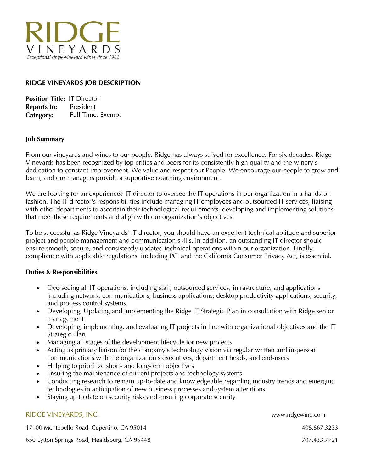

# RIDGE VINEYARDS JOB DESCRIPTION

| <b>Position Title: IT Director</b> |                   |
|------------------------------------|-------------------|
| <b>Reports to:</b>                 | President         |
| Category:                          | Full Time, Exempt |

#### **Job Summary**

From our vineyards and wines to our people, Ridge has always strived for excellence. For six decades, Ridge Vineyards has been recognized by top critics and peers for its consistently high quality and the winery's dedication to constant improvement. We value and respect our People. We encourage our people to grow and learn, and our managers provide a supportive coaching environment.

We are looking for an experienced IT director to oversee the IT operations in our organization in a hands-on fashion. The IT director's responsibilities include managing IT employees and outsourced IT services, liaising with other departments to ascertain their technological requirements, developing and implementing solutions that meet these requirements and align with our organization's objectives.

To be successful as Ridge Vineyards' IT director, you should have an excellent technical aptitude and superior project and people management and communication skills. In addition, an outstanding IT director should ensure smooth, secure, and consistently updated technical operations within our organization. Finally, compliance with applicable regulations, including PCI and the California Consumer Privacy Act, is essential.

## **Duties & Responsibilities**

- Overseeing all IT operations, including staff, outsourced services, infrastructure, and applications including network, communications, business applications, desktop productivity applications, security, and process control systems.
- Developing, Updating and implementing the Ridge IT Strategic Plan in consultation with Ridge senior management
- Developing, implementing, and evaluating IT projects in line with organizational objectives and the IT Strategic Plan
- Managing all stages of the development lifecycle for new projects
- Acting as primary liaison for the company's technology vision via regular written and in-person communications with the organization's executives, department heads, and end-users
- Helping to prioritize short- and long-term objectives
- Ensuring the maintenance of current projects and technology systems
- Conducting research to remain up-to-date and knowledgeable regarding industry trends and emerging technologies in anticipation of new business processes and system alterations
- Staying up to date on security risks and ensuring corporate security

#### RIDGE VINEYARDS, INC. www.ridgewine.com

17100 Montebello Road, Cupertino, CA 95014 408.867.3233

650 Lytton Springs Road, Healdsburg, CA 95448 707.433.7721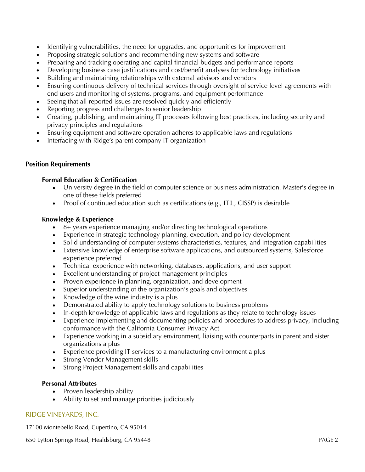- Identifying vulnerabilities, the need for upgrades, and opportunities for improvement
- Proposing strategic solutions and recommending new systems and software
- Preparing and tracking operating and capital financial budgets and performance reports
- Developing business case justifications and cost/benefit analyses for technology initiatives
- Building and maintaining relationships with external advisors and vendors
- Ensuring continuous delivery of technical services through oversight of service level agreements with end users and monitoring of systems, programs, and equipment performance
- Seeing that all reported issues are resolved quickly and efficiently
- Reporting progress and challenges to senior leadership
- Creating, publishing, and maintaining IT processes following best practices, including security and privacy principles and regulations
- Ensuring equipment and software operation adheres to applicable laws and regulations
- Interfacing with Ridge's parent company IT organization

# **Position Requirements**

## **Formal Education & Certification**

- University degree in the field of computer science or business administration. Master's degree in one of these fields preferred
- Proof of continued education such as certifications (e.g., ITIL, CISSP) is desirable

## Knowledge & Experience

- 8+ years experience managing and/or directing technological operations
- Experience in strategic technology planning, execution, and policy development
- Solid understanding of computer systems characteristics, features, and integration capabilities
- Extensive knowledge of enterprise software applications, and outsourced systems, Salesforce experience preferred
- Technical experience with networking, databases, applications, and user support
- Excellent understanding of project management principles
- Proven experience in planning, organization, and development
- Superior understanding of the organization's goals and objectives
- Knowledge of the wine industry is a plus
- Demonstrated ability to apply technology solutions to business problems
- In-depth knowledge of applicable laws and regulations as they relate to technology issues
- Experience implementing and documenting policies and procedures to address privacy, including conformance with the California Consumer Privacy Act
- Experience working in a subsidiary environment, liaising with counterparts in parent and sister organizations a plus
- Experience providing IT services to a manufacturing environment a plus
- Strong Vendor Management skills
- Strong Project Management skills and capabilities

#### **Personal Attributes**

- Proven leadership ability
- Ability to set and manage priorities judiciously

## RIDGE VINEYARDS, INC.

17100 Montebello Road, Cupertino, CA 95014